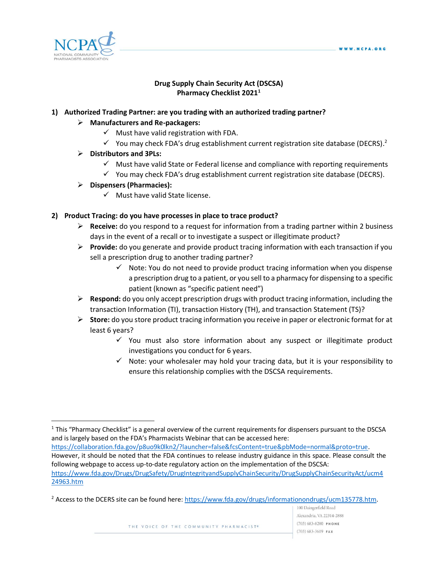

 $\overline{a}$ 

## **Drug Supply Chain Security Act (DSCSA) Pharmacy Checklist 2021<sup>1</sup>**

## **1) Authorized Trading Partner: are you trading with an authorized trading partner?**

#### **Manufacturers and Re-packagers:**

- $\checkmark$  Must have valid registration with FDA.
- $\checkmark$  You may check FDA's drug establishment current registration site database (DECRS).<sup>2</sup>

## **Distributors and 3PLs:**

- $\checkmark$  Must have valid State or Federal license and compliance with reporting requirements
- $\checkmark$  You may check FDA's drug establishment current registration site database (DECRS).

#### **Dispensers (Pharmacies):**

 $\checkmark$  Must have valid State license.

## **2) Product Tracing: do you have processes in place to trace product?**

- **Receive:** do you respond to a request for information from a trading partner within 2 business days in the event of a recall or to investigate a suspect or illegitimate product?
- **Provide:** do you generate and provide product tracing information with each transaction if you sell a prescription drug to another trading partner?
	- $\checkmark$  Note: You do not need to provide product tracing information when you dispense a prescription drug to a patient, or you sell to a pharmacy for dispensing to a specific patient (known as "specific patient need")
- **Respond:** do you only accept prescription drugs with product tracing information, including the transaction Information (TI), transaction History (TH), and transaction Statement (TS)?
- **Store:** do you store product tracing information you receive in paper or electronic format for at least 6 years?
	- $\checkmark$  You must also store information about any suspect or illegitimate product investigations you conduct for 6 years.
	- $\checkmark$  Note: your wholesaler may hold your tracing data, but it is your responsibility to ensure this relationship complies with the DSCSA requirements.

[https://collaboration.fda.gov/p8uo9k0lkn2/?launcher=false&fcsContent=true&pbMode=normal&proto=true.](https://collaboration.fda.gov/p8uo9k0lkn2/?launcher=false&fcsContent=true&pbMode=normal&proto=true) However, it should be noted that the FDA continues to release industry guidance in this space. Please consult the following webpage to access up-to-date regulatory action on the implementation of the DSCSA: [https://www.fda.gov/Drugs/DrugSafety/DrugIntegrityandSupplyChainSecurity/DrugSupplyChainSecurityAct/ucm4](https://www.fda.gov/Drugs/DrugSafety/DrugIntegrityandSupplyChainSecurity/DrugSupplyChainSecurityAct/ucm424963.htm) [24963.htm](https://www.fda.gov/Drugs/DrugSafety/DrugIntegrityandSupplyChainSecurity/DrugSupplyChainSecurityAct/ucm424963.htm)

<sup>&</sup>lt;sup>1</sup> This "Pharmacy Checklist" is a general overview of the current requirements for dispensers pursuant to the DSCSA and is largely based on the FDA's Pharmacists Webinar that can be accessed here:

<sup>&</sup>lt;sup>2</sup> Access to the DCERS site can be found here[: https://www.fda.gov/drugs/informationondrugs/ucm135778.htm.](https://www.fda.gov/drugs/informationondrugs/ucm135778.htm)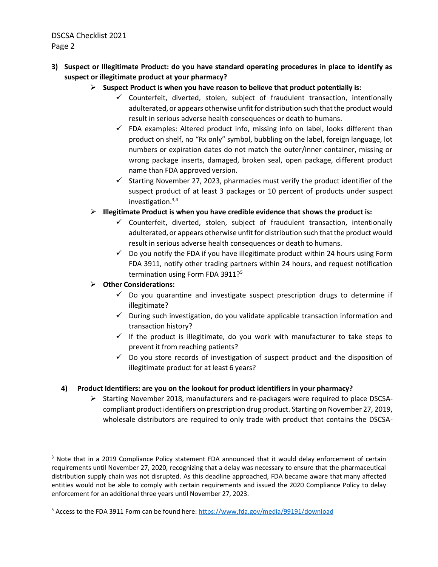DSCSA Checklist 2021 Page 2

- **3) Suspect or Illegitimate Product: do you have standard operating procedures in place to identify as suspect or illegitimate product at your pharmacy?** 
	- **Suspect Product is when you have reason to believe that product potentially is:**
		- $\checkmark$  Counterfeit, diverted, stolen, subject of fraudulent transaction, intentionally adulterated, or appears otherwise unfit for distribution such that the product would result in serious adverse health consequences or death to humans.
		- $\checkmark$  FDA examples: Altered product info, missing info on label, looks different than product on shelf, no "Rx only" symbol, bubbling on the label, foreign language, lot numbers or expiration dates do not match the outer/inner container, missing or wrong package inserts, damaged, broken seal, open package, different product name than FDA approved version.
		- $\checkmark$  Starting November 27, 2023, pharmacies must verify the product identifier of the suspect product of at least 3 packages or 10 percent of products under suspect investigation. $3,4$
	- **Illegitimate Product is when you have credible evidence that shows the product is:**
		- $\checkmark$  Counterfeit, diverted, stolen, subject of fraudulent transaction, intentionally adulterated, or appears otherwise unfit for distribution such that the product would result in serious adverse health consequences or death to humans.
		- $\checkmark$  Do you notify the FDA if you have illegitimate product within 24 hours using Form FDA 3911, notify other trading partners within 24 hours, and request notification termination using Form FDA 3911?<sup>5</sup>

**Other Considerations:** 

 $\overline{a}$ 

- $\checkmark$  Do you quarantine and investigate suspect prescription drugs to determine if illegitimate?
- $\checkmark$  During such investigation, do you validate applicable transaction information and transaction history?
- $\checkmark$  If the product is illegitimate, do you work with manufacturer to take steps to prevent it from reaching patients?
- $\checkmark$  Do you store records of investigation of suspect product and the disposition of illegitimate product for at least 6 years?

## **4) Product Identifiers: are you on the lookout for product identifiers in your pharmacy?**

 $\triangleright$  Starting November 2018, manufacturers and re-packagers were required to place DSCSAcompliant product identifiers on prescription drug product. Starting on November 27, 2019, wholesale distributors are required to only trade with product that contains the DSCSA-

<sup>&</sup>lt;sup>3</sup> Note that in a 2019 Compliance Policy statement FDA announced that it would delay enforcement of certain requirements until November 27, 2020, recognizing that a delay was necessary to ensure that the pharmaceutical distribution supply chain was not disrupted. As this deadline approached, FDA became aware that many affected entities would not be able to comply with certain requirements and issued the 2020 Compliance Policy to delay enforcement for an additional three years until November 27, 2023.

<sup>5</sup> Access to the FDA 3911 Form can be found here[: https://www.fda.gov/media/99191/download](https://www.fda.gov/media/99191/download)